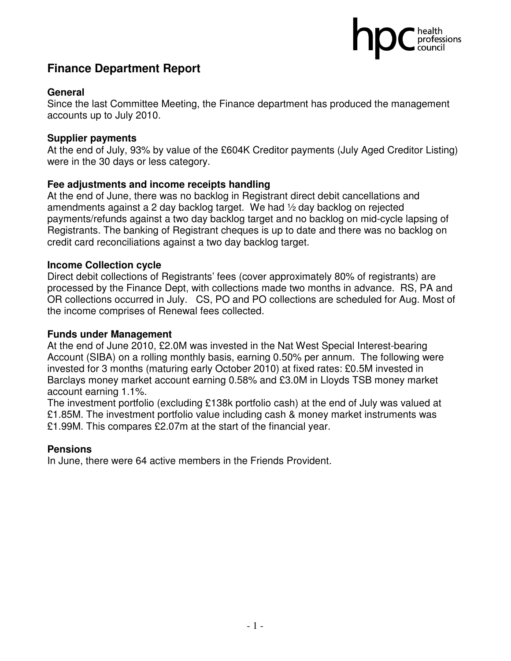## health<br>professions

## **Finance Department Report**

## **General**

Since the last Committee Meeting, the Finance department has produced the management accounts up to July 2010.

## **Supplier payments**

At the end of July, 93% by value of the £604K Creditor payments (July Aged Creditor Listing) were in the 30 days or less category.

## **Fee adjustments and income receipts handling**

At the end of June, there was no backlog in Registrant direct debit cancellations and amendments against a 2 day backlog target. We had ½ day backlog on rejected payments/refunds against a two day backlog target and no backlog on mid-cycle lapsing of Registrants. The banking of Registrant cheques is up to date and there was no backlog on credit card reconciliations against a two day backlog target.

## **Income Collection cycle**

Direct debit collections of Registrants' fees (cover approximately 80% of registrants) are processed by the Finance Dept, with collections made two months in advance. RS, PA and OR collections occurred in July. CS, PO and PO collections are scheduled for Aug. Most of the income comprises of Renewal fees collected.

#### **Funds under Management**

At the end of June 2010, £2.0M was invested in the Nat West Special Interest-bearing Account (SIBA) on a rolling monthly basis, earning 0.50% per annum. The following were invested for 3 months (maturing early October 2010) at fixed rates: £0.5M invested in Barclays money market account earning 0.58% and £3.0M in Lloyds TSB money market account earning 1.1%.

The investment portfolio (excluding £138k portfolio cash) at the end of July was valued at £1.85M. The investment portfolio value including cash & money market instruments was £1.99M. This compares £2.07m at the start of the financial year.

## **Pensions**

In June, there were 64 active members in the Friends Provident.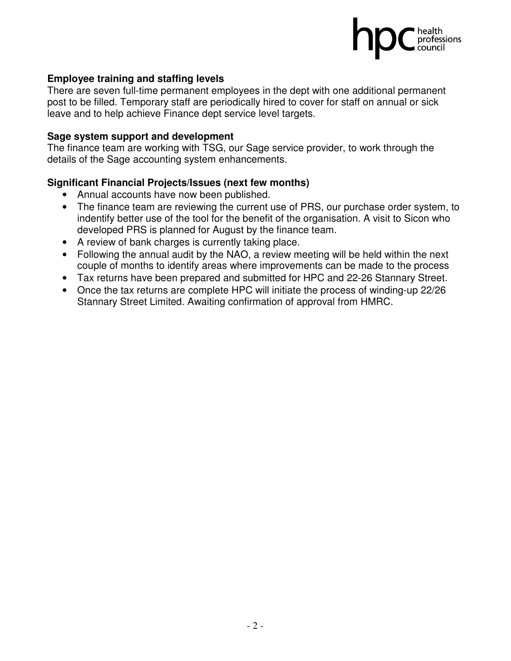

## **Employee training and staffing levels**

There are seven full-time permanent employees in the dept with one additional permanent post to be filled. Temporary staff are periodically hired to cover for staff on annual or sick leave and to help achieve Finance dept service level targets.

#### **Sage system support and development**

The finance team are working with TSG, our Sage service provider, to work through the details of the Sage accounting system enhancements.

## **Significant Financial Projects/Issues (next few months)**

- Annual accounts have now been published.
- The finance team are reviewing the current use of PRS, our purchase order system, to indentify better use of the tool for the benefit of the organisation. A visit to Sicon who developed PRS is planned for August by the finance team.
- A review of bank charges is currently taking place.
- Following the annual audit by the NAO, a review meeting will be held within the next couple of months to identify areas where improvements can be made to the process
- Tax returns have been prepared and submitted for HPC and 22-26 Stannary Street.
- Once the tax returns are complete HPC will initiate the process of winding-up 22/26 Stannary Street Limited. Awaiting confirmation of approval from HMRC.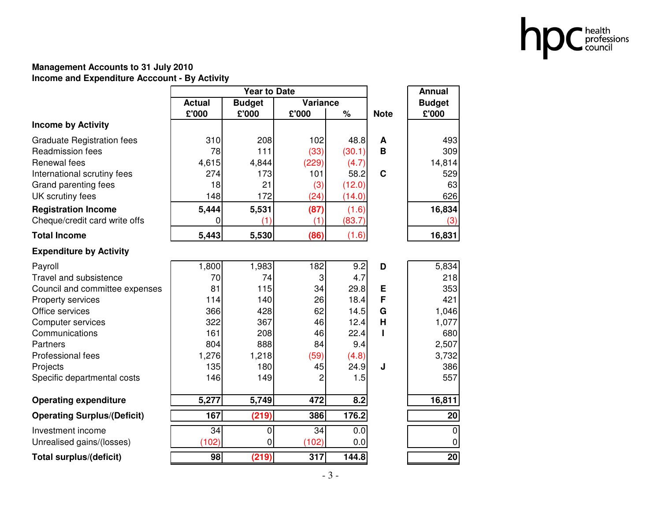

#### **Management Accounts to 31 July 2010Income and Expenditure Acccount - By Activity**

|                                    |               | <b>Year to Date</b> |                 | <b>Annual</b> |             |               |
|------------------------------------|---------------|---------------------|-----------------|---------------|-------------|---------------|
|                                    | <b>Actual</b> | <b>Budget</b>       | <b>Variance</b> |               |             | <b>Budget</b> |
|                                    | £'000         | £'000               | £'000           | %             | <b>Note</b> | £'000         |
| <b>Income by Activity</b>          |               |                     |                 |               |             |               |
| <b>Graduate Registration fees</b>  | 310           | 208                 | 102             | 48.8          | A           | 493           |
| <b>Readmission fees</b>            | 78            | 111                 | (33)            | (30.1)        | B           | 309           |
| Renewal fees                       | 4,615         | 4,844               | (229)           | (4.7)         |             | 14,814        |
| International scrutiny fees        | 274           | 173                 | 101             | 58.2          | $\mathbf C$ | 529           |
| Grand parenting fees               | 18            | 21                  | (3)             | (12.0)        |             | 63            |
| UK scrutiny fees                   | 148           | 172                 | (24)            | (14.0)        |             | 626           |
| <b>Registration Income</b>         | 5,444         | 5,531               | (87)            | (1.6)         |             | 16,834        |
| Cheque/credit card write offs      | 0             | (1)                 | (1)             | (83.7)        |             | (3)           |
| <b>Total Income</b>                | 5,443         | 5,530               | (86)            | (1.6)         |             | 16,831        |
| <b>Expenditure by Activity</b>     |               |                     |                 |               |             |               |
| Payroll                            | 1,800         | 1,983               | 182             | 9.2           | D           | 5,834         |
| <b>Travel and subsistence</b>      | 70            | 74                  | 3               | 4.7           |             | 218           |
| Council and committee expenses     | 81            | 115                 | 34              | 29.8          | E           | 353           |
| Property services                  | 114           | 140                 | 26              | 18.4          | F           | 421           |
| Office services                    | 366           | 428                 | 62              | 14.5          | G           | 1,046         |
| <b>Computer services</b>           | 322           | 367                 | 46              | 12.4          | Н           | 1,077         |
| Communications                     | 161           | 208                 | 46              | 22.4          |             | 680           |
| Partners                           | 804           | 888                 | 84              | 9.4           |             | 2,507         |
| Professional fees                  | 1,276         | 1,218               | (59)            | (4.8)         |             | 3,732         |
| Projects                           | 135           | 180                 | 45              | 24.9          | J           | 386           |
| Specific departmental costs        | 146           | 149                 | 2               | 1.5           |             | 557           |
| <b>Operating expenditure</b>       | 5,277         | 5,749               | 472             | 8.2           |             | 16,811        |
| <b>Operating Surplus/(Deficit)</b> | 167           | (219)               | 386             | 176.2         |             | 20            |
| Investment income                  | 34            | 0                   | 34              | 0.0           |             | $\mathbf 0$   |
| Unrealised gains/(losses)          | (102)         | 0                   | (102)           | 0.0           |             | $\mathbf 0$   |
| <b>Total surplus/(deficit)</b>     | 98            | (219)               | 317             | 144.8         |             | 20            |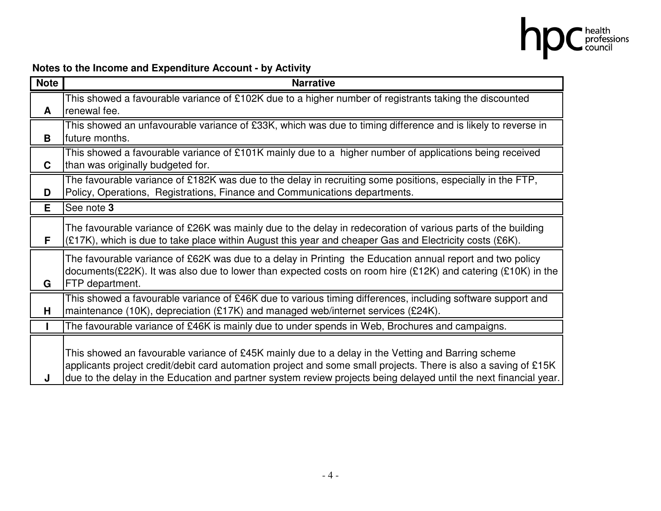

## **Notes to the Income and Expenditure Account - by Activity**

| <b>Note</b> | <b>Narrative</b>                                                                                                                                                                                                                                                                                                                           |
|-------------|--------------------------------------------------------------------------------------------------------------------------------------------------------------------------------------------------------------------------------------------------------------------------------------------------------------------------------------------|
| A           | This showed a favourable variance of £102K due to a higher number of registrants taking the discounted<br>renewal fee.                                                                                                                                                                                                                     |
| B           | This showed an unfavourable variance of £33K, which was due to timing difference and is likely to reverse in<br>future months.                                                                                                                                                                                                             |
| C           | This showed a favourable variance of £101K mainly due to a higher number of applications being received<br>than was originally budgeted for.                                                                                                                                                                                               |
| D           | The favourable variance of £182K was due to the delay in recruiting some positions, especially in the FTP,<br>Policy, Operations, Registrations, Finance and Communications departments.                                                                                                                                                   |
| Е           | See note 3                                                                                                                                                                                                                                                                                                                                 |
| F           | The favourable variance of £26K was mainly due to the delay in redecoration of various parts of the building<br>(£17K), which is due to take place within August this year and cheaper Gas and Electricity costs (£6K).                                                                                                                    |
| G           | The favourable variance of £62K was due to a delay in Printing the Education annual report and two policy<br>documents(£22K). It was also due to lower than expected costs on room hire (£12K) and catering (£10K) in the<br>FTP department.                                                                                               |
| Н           | This showed a favourable variance of £46K due to various timing differences, including software support and<br>maintenance (10K), depreciation (£17K) and managed web/internet services (£24K).                                                                                                                                            |
|             | The favourable variance of £46K is mainly due to under spends in Web, Brochures and campaigns.                                                                                                                                                                                                                                             |
| J           | This showed an favourable variance of £45K mainly due to a delay in the Vetting and Barring scheme<br>applicants project credit/debit card automation project and some small projects. There is also a saving of £15K<br>due to the delay in the Education and partner system review projects being delayed until the next financial year. |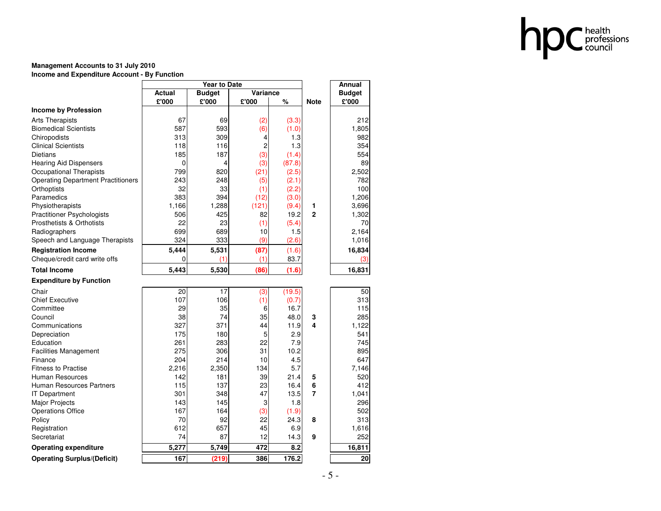

#### **Management Accounts to 31 July 2010Income and Expenditure Account - By Function**

|                                           |          |               | Annual   |        |                |               |
|-------------------------------------------|----------|---------------|----------|--------|----------------|---------------|
|                                           | Actual   | <b>Budget</b> | Variance |        |                | <b>Budget</b> |
|                                           | £'000    | £'000         | £'000    | %      | <b>Note</b>    | £'000         |
| <b>Income by Profession</b>               |          |               |          |        |                |               |
| <b>Arts Therapists</b>                    | 67       | 69            | (2)      | (3.3)  |                | 212           |
| <b>Biomedical Scientists</b>              | 587      | 593           | (6)      | (1.0)  |                | 1,805         |
| Chiropodists                              | 313      | 309           | 4        | 1.3    |                | 982           |
| <b>Clinical Scientists</b>                | 118      | 116           | 2        | 1.3    |                | 354           |
| Dietians                                  | 185      | 187           | (3)      | (1.4)  |                | 554           |
| <b>Hearing Aid Dispensers</b>             | 0        | 4             | (3)      | (87.8) |                | 89            |
| Occupational Therapists                   | 799      | 820           | (21)     | (2.5)  |                | 2,502         |
| <b>Operating Department Practitioners</b> | 243      | 248           | (5)      | (2.1)  |                | 782           |
| Orthoptists                               | 32       | 33            | (1)      | (2.2)  |                | 100           |
| Paramedics                                | 383      | 394           | (12)     | (3.0)  |                | 1,206         |
| Physiotherapists                          | 1,166    | 1,288         | (121)    | (9.4)  | 1              | 3,696         |
| <b>Practitioner Psychologists</b>         | 506      | 425           | 82       | 19.2   | $\overline{2}$ | 1,302         |
| <b>Prosthetists &amp; Orthotists</b>      | 22       | 23            | (1)      | (5.4)  |                | 70            |
| Radiographers                             | 699      | 689           | 10       | 1.5    |                | 2.164         |
| Speech and Language Therapists            | 324      | 333           | (9)      | (2.6)  |                | 1,016         |
| <b>Registration Income</b>                | 5,444    | 5,531         | (87)     | (1.6)  |                | 16,834        |
| Cheque/credit card write offs             | $\Omega$ | (1)           | (1)      | 83.7   |                | (3)           |
| <b>Total Income</b>                       | 5,443    | 5,530         | (86)     | (1.6)  |                | 16,831        |
| <b>Expenditure by Function</b>            |          |               |          |        |                |               |
| Chair                                     | 20       | 17            | (3)      | (19.5) |                | 50            |
| <b>Chief Executive</b>                    | 107      | 106           | (1)      | (0.7)  |                | 313           |
| Committee                                 | 29       | 35            | 6        | 16.7   |                | 115           |
| Council                                   | 38       | 74            | 35       | 48.0   | 3              | 285           |
| Communications                            | 327      | 371           | 44       | 11.9   | 4              | 1,122         |
| Depreciation                              | 175      | 180           | 5        | 2.9    |                | 541           |
| Education                                 | 261      | 283           | 22       | 7.9    |                | 745           |
| <b>Facilities Management</b>              | 275      | 306           | 31       | 10.2   |                | 895           |
| Finance                                   | 204      | 214           | 10       | 4.5    |                | 647           |
| <b>Fitness to Practise</b>                | 2,216    | 2,350         | 134      | 5.7    |                | 7,146         |
| Human Resources                           | 142      | 181           | 39       | 21.4   | 5              | 520           |
| <b>Human Resources Partners</b>           | 115      | 137           | 23       | 16.4   | 6              | 412           |
| <b>IT Department</b>                      | 301      | 348           | 47       | 13.5   | 7              | 1,041         |
| Major Projects                            | 143      | 145           | 3        | 1.8    |                | 296           |
| <b>Operations Office</b>                  | 167      | 164           | (3)      | (1.9)  |                | 502           |
| Policy                                    | 70       | 92            | 22       | 24.3   | 8              | 313           |
| Registration                              | 612      | 657           | 45       | 6.9    |                | 1,616         |
| Secretariat                               | 74       | 87            | 12       | 14.3   | 9              | 252           |
| <b>Operating expenditure</b>              | 5,277    | 5,749         | 472      | 8.2    |                | 16,811        |
| <b>Operating Surplus/(Deficit)</b>        | 167      | (219)         | 386      | 176.2  |                | 20            |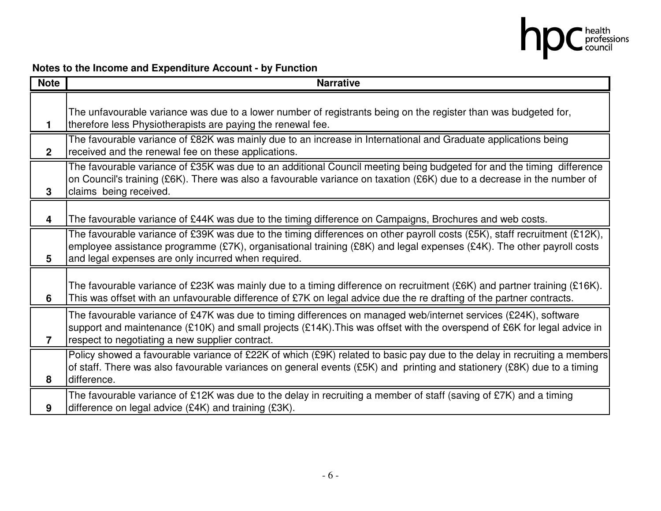

## **Notes to the Income and Expenditure Account - by Function**

| <b>Note</b>    | <b>Narrative</b>                                                                                                                                                                                                                                                                                         |
|----------------|----------------------------------------------------------------------------------------------------------------------------------------------------------------------------------------------------------------------------------------------------------------------------------------------------------|
|                | The unfavourable variance was due to a lower number of registrants being on the register than was budgeted for,<br>therefore less Physiotherapists are paying the renewal fee.                                                                                                                           |
| $\overline{2}$ | The favourable variance of £82K was mainly due to an increase in International and Graduate applications being<br>received and the renewal fee on these applications.                                                                                                                                    |
| 3              | The favourable variance of £35K was due to an additional Council meeting being budgeted for and the timing difference<br>on Council's training (£6K). There was also a favourable variance on taxation (£6K) due to a decrease in the number of<br>claims being received.                                |
| 4              | The favourable variance of £44K was due to the timing difference on Campaigns, Brochures and web costs.                                                                                                                                                                                                  |
| 5              | The favourable variance of £39K was due to the timing differences on other payroll costs (£5K), staff recruitment (£12K),<br>employee assistance programme (£7K), organisational training (£8K) and legal expenses (£4K). The other payroll costs<br>and legal expenses are only incurred when required. |
| 6              | The favourable variance of £23K was mainly due to a timing difference on recruitment (£6K) and partner training (£16K).<br>This was offset with an unfavourable difference of £7K on legal advice due the re drafting of the partner contracts.                                                          |
| $\overline{7}$ | The favourable variance of £47K was due to timing differences on managed web/internet services (£24K), software<br>support and maintenance (£10K) and small projects (£14K). This was offset with the overspend of £6K for legal advice in<br>respect to negotiating a new supplier contract.            |
| 8              | Policy showed a favourable variance of £22K of which (£9K) related to basic pay due to the delay in recruiting a members<br>of staff. There was also favourable variances on general events (£5K) and printing and stationery (£8K) due to a timing<br>difference.                                       |
| 9              | The favourable variance of £12K was due to the delay in recruiting a member of staff (saving of £7K) and a timing<br>difference on legal advice (£4K) and training (£3K).                                                                                                                                |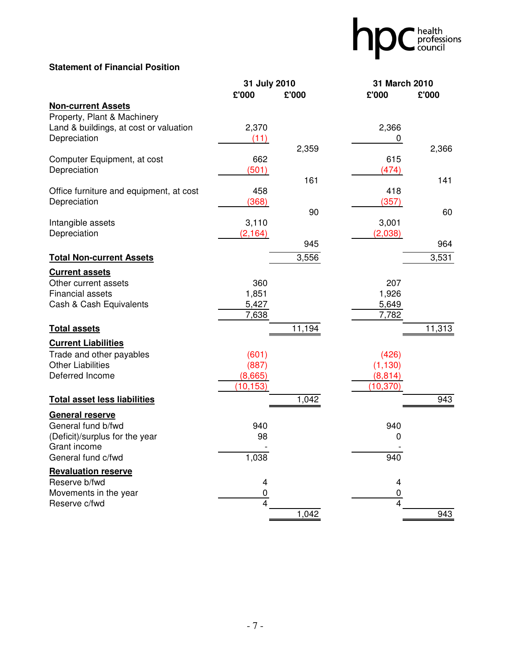## hpc health<br>council

## **Statement of Financial Position**

|                                         | 31 July 2010   |        | 31 March 2010 |        |  |  |
|-----------------------------------------|----------------|--------|---------------|--------|--|--|
|                                         | £'000          | £'000  | £'000         | £'000  |  |  |
| <b>Non-current Assets</b>               |                |        |               |        |  |  |
| Property, Plant & Machinery             |                |        |               |        |  |  |
| Land & buildings, at cost or valuation  | 2,370          |        | 2,366         |        |  |  |
| Depreciation                            | (11)           |        | 0             |        |  |  |
|                                         |                | 2,359  |               | 2,366  |  |  |
| Computer Equipment, at cost             | 662            |        | 615           |        |  |  |
| Depreciation                            | (501)          |        | (474)         |        |  |  |
|                                         |                | 161    |               | 141    |  |  |
| Office furniture and equipment, at cost | 458            |        | 418           |        |  |  |
| Depreciation                            | (368)          |        | (357)         |        |  |  |
|                                         |                | 90     |               | 60     |  |  |
| Intangible assets                       | 3,110          |        | 3,001         |        |  |  |
| Depreciation                            | (2, 164)       | 945    | (2,038)       | 964    |  |  |
|                                         |                |        |               |        |  |  |
| <b>Total Non-current Assets</b>         |                | 3,556  |               | 3,531  |  |  |
| <b>Current assets</b>                   |                |        |               |        |  |  |
| Other current assets                    | 360            |        | 207           |        |  |  |
| Financial assets                        | 1,851          |        | 1,926         |        |  |  |
| Cash & Cash Equivalents                 | 5,427          |        | 5,649         |        |  |  |
|                                         | 7,638          |        | 7,782         |        |  |  |
| <b>Total assets</b>                     |                | 11,194 |               | 11,313 |  |  |
| <b>Current Liabilities</b>              |                |        |               |        |  |  |
| Trade and other payables                | (601)          |        | (426)         |        |  |  |
| <b>Other Liabilities</b>                | (887)          |        | (1, 130)      |        |  |  |
| Deferred Income                         | (8,665)        |        | (8, 814)      |        |  |  |
|                                         | (10, 153)      |        | (10, 370)     |        |  |  |
| <b>Total asset less liabilities</b>     |                | 1,042  |               | 943    |  |  |
| <b>General reserve</b>                  |                |        |               |        |  |  |
| General fund b/fwd                      | 940            |        | 940           |        |  |  |
| (Deficit)/surplus for the year          | 98             |        | 0             |        |  |  |
| Grant income                            |                |        |               |        |  |  |
| General fund c/fwd                      | 1,038          |        | 940           |        |  |  |
| <b>Revaluation reserve</b>              |                |        |               |        |  |  |
| Reserve b/fwd                           | 4              |        | 4             |        |  |  |
| Movements in the year                   | $\overline{0}$ |        | 0             |        |  |  |
| Reserve c/fwd                           | $\overline{4}$ |        | 4             |        |  |  |
|                                         |                | 1,042  |               | 943    |  |  |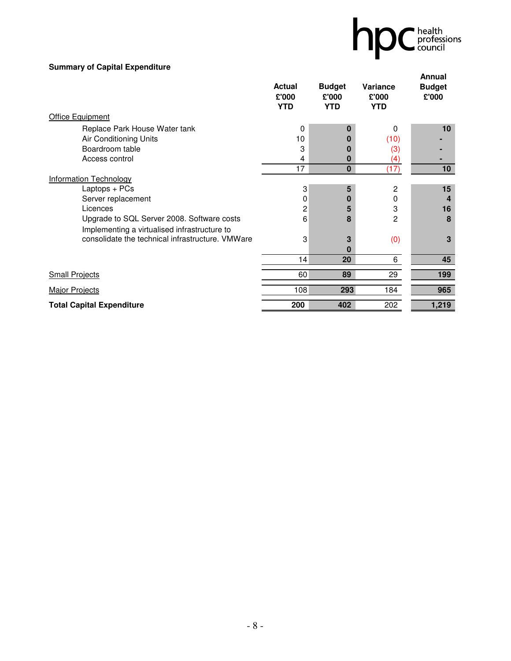

## **Summary of Capital Expenditure**

|                                                                                            | <b>Actual</b><br>£'000<br><b>YTD</b> | <b>Budget</b><br>£'000<br><b>YTD</b> | <b>Variance</b><br>£'000<br><b>YTD</b> | Annual<br><b>Budget</b><br>£'000 |
|--------------------------------------------------------------------------------------------|--------------------------------------|--------------------------------------|----------------------------------------|----------------------------------|
| <b>Office Equipment</b>                                                                    |                                      |                                      |                                        |                                  |
| Replace Park House Water tank                                                              | 0                                    | 0                                    | 0                                      | 10                               |
| Air Conditioning Units                                                                     | 10                                   |                                      | (10)                                   |                                  |
| Boardroom table                                                                            | 3                                    | O                                    | (3)                                    |                                  |
| Access control                                                                             | 4                                    | 0                                    | (4)                                    |                                  |
|                                                                                            | 17                                   | $\bf{0}$                             | (17)                                   | 10                               |
| <b>Information Technology</b>                                                              |                                      |                                      |                                        |                                  |
| Laptops + PCs                                                                              | 3                                    | 5                                    | 2                                      | 15                               |
| Server replacement                                                                         | 0                                    | 0                                    | 0                                      | 4                                |
| Licences                                                                                   | 2                                    | 5                                    | 3                                      | 16                               |
| Upgrade to SQL Server 2008. Software costs<br>Implementing a virtualised infrastructure to | 6                                    | 8                                    | 2                                      | 8                                |
| consolidate the technical infrastructure. VMWare                                           | 3                                    | 3                                    | (0)                                    | 3                                |
|                                                                                            |                                      | O                                    |                                        |                                  |
|                                                                                            | 14                                   | 20                                   | 6                                      | 45                               |
| <b>Small Projects</b>                                                                      | 60                                   | 89                                   | 29                                     | 199                              |
| <b>Major Projects</b>                                                                      | 108                                  | 293                                  | 184                                    | 965                              |
| <b>Total Capital Expenditure</b>                                                           | 200                                  | 402                                  | 202                                    | 1,219                            |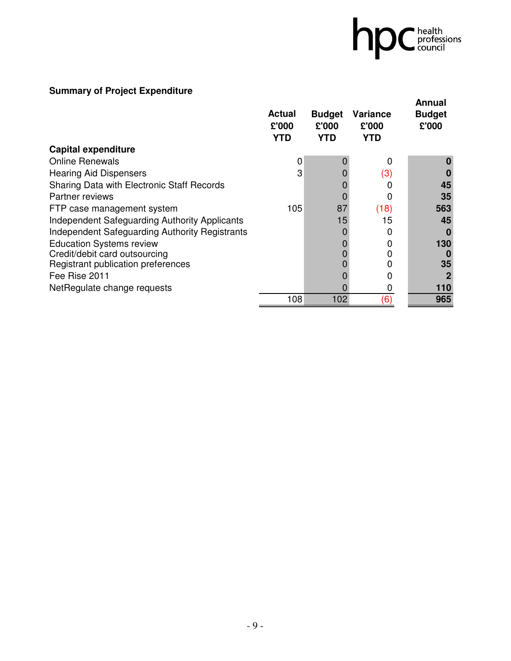# hpc health

## **Summary of Project Expenditure**

|                                                      |                                      |                                      |                                        | Annual                 |
|------------------------------------------------------|--------------------------------------|--------------------------------------|----------------------------------------|------------------------|
|                                                      | <b>Actual</b><br>£'000<br><b>YTD</b> | <b>Budget</b><br>£'000<br><b>YTD</b> | <b>Variance</b><br>£'000<br><b>YTD</b> | <b>Budget</b><br>£'000 |
| <b>Capital expenditure</b>                           |                                      |                                      |                                        |                        |
| <b>Online Renewals</b>                               | 0                                    |                                      | 0                                      |                        |
| <b>Hearing Aid Dispensers</b>                        | 3                                    |                                      | (3)                                    |                        |
| Sharing Data with Electronic Staff Records           |                                      |                                      |                                        | 45                     |
| Partner reviews                                      |                                      |                                      | 0                                      | 35                     |
| FTP case management system                           | 105                                  | 87                                   | (18)                                   | 563                    |
| <b>Independent Safeguarding Authority Applicants</b> |                                      | 15                                   | 15                                     | 45                     |
| Independent Safeguarding Authority Registrants       |                                      |                                      |                                        |                        |
| <b>Education Systems review</b>                      |                                      |                                      |                                        | 130                    |
| Credit/debit card outsourcing                        |                                      |                                      |                                        |                        |
| Registrant publication preferences                   |                                      |                                      |                                        | 35                     |
| Fee Rise 2011                                        |                                      |                                      |                                        |                        |
| NetRegulate change requests                          |                                      |                                      |                                        | 110                    |
|                                                      | 108                                  | 102                                  | (6)                                    | 965                    |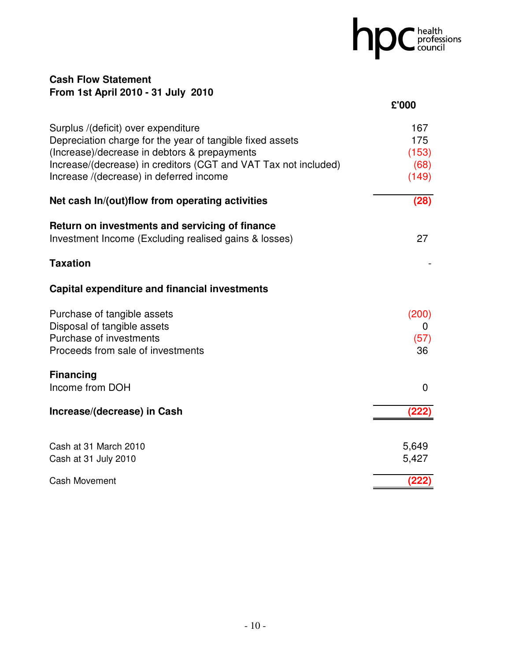## hpC professions

## **Cash Flow Statement From 1st April 2010 - 31 July 2010**

|                                                                                                                                                                                                                                                                | £'000                                |
|----------------------------------------------------------------------------------------------------------------------------------------------------------------------------------------------------------------------------------------------------------------|--------------------------------------|
| Surplus /(deficit) over expenditure<br>Depreciation charge for the year of tangible fixed assets<br>(Increase)/decrease in debtors & prepayments<br>Increase/(decrease) in creditors (CGT and VAT Tax not included)<br>Increase /(decrease) in deferred income | 167<br>175<br>(153)<br>(68)<br>(149) |
| Net cash In/(out)flow from operating activities                                                                                                                                                                                                                | (28)                                 |
| Return on investments and servicing of finance<br>Investment Income (Excluding realised gains & losses)                                                                                                                                                        | 27                                   |
| <b>Taxation</b>                                                                                                                                                                                                                                                |                                      |
| <b>Capital expenditure and financial investments</b>                                                                                                                                                                                                           |                                      |
| Purchase of tangible assets<br>Disposal of tangible assets<br>Purchase of investments<br>Proceeds from sale of investments                                                                                                                                     | (200)<br>$\mathbf{0}$<br>(57)<br>36  |
| <b>Financing</b><br>Income from DOH                                                                                                                                                                                                                            | $\mathbf 0$                          |
| Increase/(decrease) in Cash                                                                                                                                                                                                                                    | (222                                 |
| Cash at 31 March 2010<br>Cash at 31 July 2010                                                                                                                                                                                                                  | 5,649<br>5,427                       |
| Cash Movement                                                                                                                                                                                                                                                  | (222)                                |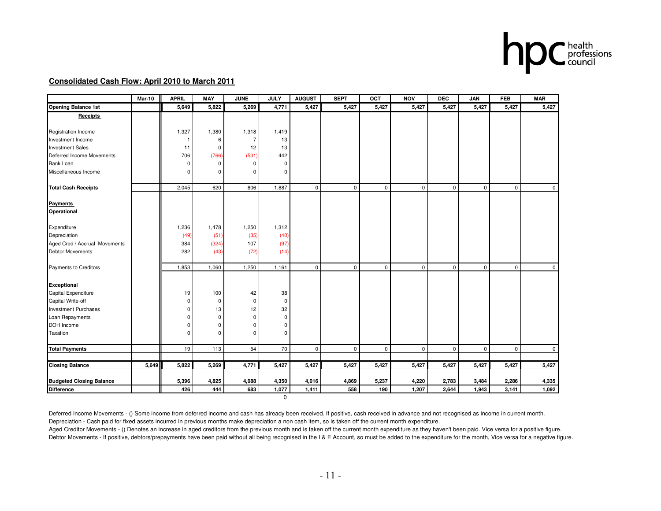

#### **Consolidated Cash Flow: April 2010 to March 2011**

|                                 | <b>Mar-10</b> | <b>APRIL</b> | <b>MAY</b>  | <b>JUNE</b>    | <b>JULY</b> | <b>AUGUST</b> | <b>SEPT</b> | OCT         | <b>NOV</b>  | <b>DEC</b>  | JAN         | <b>FEB</b>   | <b>MAR</b>  |
|---------------------------------|---------------|--------------|-------------|----------------|-------------|---------------|-------------|-------------|-------------|-------------|-------------|--------------|-------------|
| <b>Opening Balance 1st</b>      |               | 5,649        | 5,822       | 5,269          | 4,771       | 5,427         | 5,427       | 5,427       | 5,427       | 5,427       | 5,427       | 5,427        | 5,427       |
| <b>Receipts</b>                 |               |              |             |                |             |               |             |             |             |             |             |              |             |
|                                 |               |              |             |                |             |               |             |             |             |             |             |              |             |
| Registration Income             |               | 1,327        | 1,380       | 1,318          | 1,419       |               |             |             |             |             |             |              |             |
| Investment Income               |               | -1           | 6           | $\overline{7}$ | 13          |               |             |             |             |             |             |              |             |
| <b>Investment Sales</b>         |               | 11           | $\mathbf 0$ | 12             | 13          |               |             |             |             |             |             |              |             |
| Deferred Income Movements       |               | 706          | (766)       | (531)          | 442         |               |             |             |             |             |             |              |             |
| Bank Loan                       |               | 0            | $\mathbf 0$ | 0              | $\mathbf 0$ |               |             |             |             |             |             |              |             |
| Miscellaneous Income            |               | $\mathbf 0$  | $\Omega$    | $\mathbf 0$    | $\Omega$    |               |             |             |             |             |             |              |             |
| <b>Total Cash Receipts</b>      |               | 2,045        | 620         | 806            | 1,887       | $\mathbf 0$   | 0           | $\mathbf 0$ | $\Omega$    | $\mathbf 0$ | $\mathbf 0$ | $\mathbf{0}$ | $\mathbf 0$ |
|                                 |               |              |             |                |             |               |             |             |             |             |             |              |             |
| <b>Payments</b><br>Operational  |               |              |             |                |             |               |             |             |             |             |             |              |             |
|                                 |               |              |             |                |             |               |             |             |             |             |             |              |             |
| Expenditure                     |               | 1,236        | 1,478       | 1,250          | 1,312       |               |             |             |             |             |             |              |             |
| Depreciation                    |               | (49)         | (51)        | (35)           | (40)        |               |             |             |             |             |             |              |             |
| Aged Cred / Accrual Movements   |               | 384          | (324)       | 107            | (97)        |               |             |             |             |             |             |              |             |
| <b>Debtor Movements</b>         |               | 282          | (43)        | (72)           | (14)        |               |             |             |             |             |             |              |             |
| Payments to Creditors           |               | 1,853        | 1,060       | 1,250          | 1,161       | $\mathbf 0$   | 0           | $\mathbf 0$ | $\Omega$    | $\mathbf 0$ | $\mathbf 0$ | $\mathbf 0$  | $\mathbf 0$ |
| Exceptional                     |               |              |             |                |             |               |             |             |             |             |             |              |             |
| Capital Expenditure             |               | 19           | 100         | 42             | 38          |               |             |             |             |             |             |              |             |
| Capital Write-off               |               | 0            | 0           | 0              | 0           |               |             |             |             |             |             |              |             |
| <b>Investment Purchases</b>     |               | 0            | 13          | 12             | 32          |               |             |             |             |             |             |              |             |
| Loan Repayments                 |               | $\mathbf 0$  | $\mathbf 0$ | $\mathbf 0$    | $\mathbf 0$ |               |             |             |             |             |             |              |             |
| DOH Income                      |               | 0            | $\mathbf 0$ | 0              | $\mathbf 0$ |               |             |             |             |             |             |              |             |
| Taxation                        |               | $\mathbf 0$  | $\Omega$    | $\mathbf 0$    | $\Omega$    |               |             |             |             |             |             |              |             |
|                                 |               |              |             |                |             |               |             |             |             |             |             |              |             |
| <b>Total Payments</b>           |               | 19           | 113         | 54             | 70          | $\mathsf 0$   | 0           | $\mathsf 0$ | $\mathbf 0$ | $\mathsf 0$ | $\mathbf 0$ | $\mathsf 0$  | $\mathsf 0$ |
|                                 |               |              |             |                |             |               |             |             |             |             |             |              |             |
| <b>Closing Balance</b>          | 5,649         | 5,822        | 5,269       | 4,771          | 5,427       | 5,427         | 5,427       | 5,427       | 5,427       | 5,427       | 5,427       | 5,427        | 5,427       |
| <b>Budgeted Closing Balance</b> |               | 5,396        | 4,825       | 4,088          | 4,350       | 4,016         | 4,869       | 5,237       | 4,220       | 2,783       | 3,484       | 2,286        | 4,335       |
| Difference                      |               | 426          | 444         | 683            | 1,077       | 1,411         | 558         | 190         | 1,207       | 2,644       | 1,943       | 3,141        | 1,092       |
|                                 |               |              |             |                | $\mathbf 0$ |               |             |             |             |             |             |              |             |

Deferred Income Movements - () Some income from deferred income and cash has already been received. If positive, cash received in advance and not recognised as income in current month. Depreciation - Cash paid for fixed assets incurred in previous months make depreciation a non cash item, so is taken off the current month expenditure.

Aged Creditor Movements - () Denotes an increase in aged creditors from the previous month and is taken off the current month expenditure as they haven't been paid. Vice versa for a positive figure. Debtor Movements - If positive, debtors/prepayments have been paid without all being recognised in the I & E Account, so must be added to the expenditure for the month, Vice versa for a negative figure.